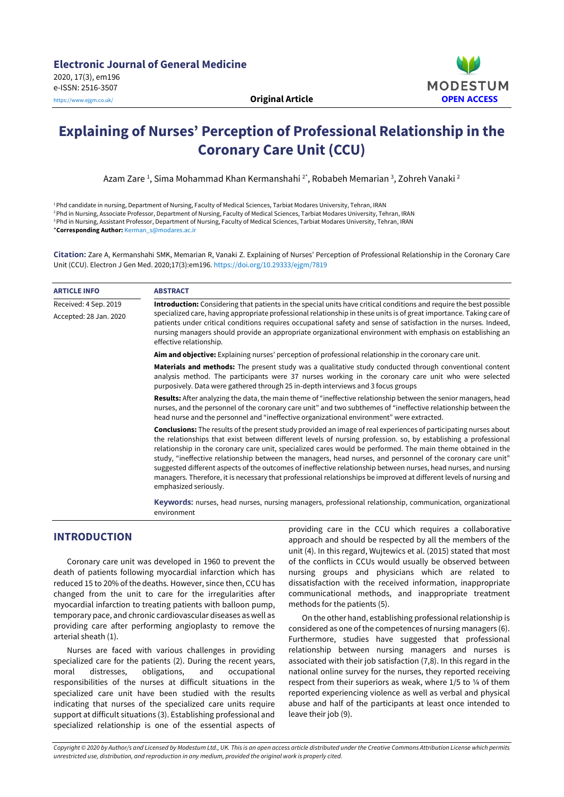

# **Explaining of Nurses' Perception of Professional Relationship in the Coronary Care Unit (CCU)**

Azam Zare <del>'</del>, Sima Mohammad Khan Kermanshahi <sup>2</sup>\*, Robabeh Memarian <sup>3</sup>, Zohreh Vanaki <sup>2</sup>

<sup>1</sup>Phd candidate in nursing, Department of Nursing, Faculty of Medical Sciences, Tarbiat Modares University, Tehran, IRAN <sup>2</sup>Phd in Nursing, Associate Professor, Department of Nursing, Faculty of Medical Sciences, Tarbiat Modares University, Tehran, IRAN <sup>3</sup> Phd in Nursing, Assistant Professor, Department of Nursing, Faculty of Medical Sciences, Tarbiat Modares University, Tehran, IRAN \***Corresponding Author:** [Kerman\\_s@modares.ac.ir](mailto:Kerman_s@modares.ac.ir)

**Citation:** Zare A, Kermanshahi SMK, Memarian R, Vanaki Z. Explaining of Nurses' Perception of Professional Relationship in the Coronary Care Unit (CCU). Electron J Gen Med. 2020;17(3):em196. <https://doi.org/10.29333/ejgm/7819>

| <b>ARTICLE INFO</b>                             | <b>ABSTRACT</b>                                                                                                                                                                                                                                                                                                                                                                                                                                                                                                                                                                                                                                                                                                                                 |
|-------------------------------------------------|-------------------------------------------------------------------------------------------------------------------------------------------------------------------------------------------------------------------------------------------------------------------------------------------------------------------------------------------------------------------------------------------------------------------------------------------------------------------------------------------------------------------------------------------------------------------------------------------------------------------------------------------------------------------------------------------------------------------------------------------------|
| Received: 4 Sep. 2019<br>Accepted: 28 Jan. 2020 | Introduction: Considering that patients in the special units have critical conditions and require the best possible<br>specialized care, having appropriate professional relationship in these units is of great importance. Taking care of<br>patients under critical conditions requires occupational safety and sense of satisfaction in the nurses. Indeed,<br>nursing managers should provide an appropriate organizational environment with emphasis on establishing an<br>effective relationship.                                                                                                                                                                                                                                        |
|                                                 | Aim and objective: Explaining nurses' perception of professional relationship in the coronary care unit.                                                                                                                                                                                                                                                                                                                                                                                                                                                                                                                                                                                                                                        |
|                                                 | Materials and methods: The present study was a qualitative study conducted through conventional content<br>analysis method. The participants were 37 nurses working in the coronary care unit who were selected<br>purposively. Data were gathered through 25 in-depth interviews and 3 focus groups                                                                                                                                                                                                                                                                                                                                                                                                                                            |
|                                                 | Results: After analyzing the data, the main theme of "ineffective relationship between the senior managers, head<br>nurses, and the personnel of the coronary care unit" and two subthemes of "ineffective relationship between the<br>head nurse and the personnel and "ineffective organizational environment" were extracted.                                                                                                                                                                                                                                                                                                                                                                                                                |
|                                                 | <b>Conclusions:</b> The results of the present study provided an image of real experiences of participating nurses about<br>the relationships that exist between different levels of nursing profession. so, by establishing a professional<br>relationship in the coronary care unit, specialized cares would be performed. The main theme obtained in the<br>study, "ineffective relationship between the managers, head nurses, and personnel of the coronary care unit"<br>suggested different aspects of the outcomes of ineffective relationship between nurses, head nurses, and nursing<br>managers. Therefore, it is necessary that professional relationships be improved at different levels of nursing and<br>emphasized seriously. |
|                                                 | Keywords: nurses, head nurses, nursing managers, professional relationship, communication, organizational                                                                                                                                                                                                                                                                                                                                                                                                                                                                                                                                                                                                                                       |

environment

# **INTRODUCTION**

Coronary care unit was developed in 1960 to prevent the death of patients following myocardial infarction which has reduced 15 to 20% of the deaths. However, since then, CCU has changed from the unit to care for the irregularities after myocardial infarction to treating patients with balloon pump, temporary pace, and chronic cardiovascular diseases as well as providing care after performing angioplasty to remove the arterial sheath (1).

Nurses are faced with various challenges in providing specialized care for the patients (2). During the recent years, moral distresses, obligations, and occupational responsibilities of the nurses at difficult situations in the specialized care unit have been studied with the results indicating that nurses of the specialized care units require support at difficult situations (3). Establishing professional and specialized relationship is one of the essential aspects of

providing care in the CCU which requires a collaborative approach and should be respected by all the members of the unit (4). In this regard, Wujtewics et al. (2015) stated that most of the conflicts in CCUs would usually be observed between nursing groups and physicians which are related to dissatisfaction with the received information, inappropriate communicational methods, and inappropriate treatment methods for the patients (5).

On the other hand, establishing professional relationship is considered as one of the competences of nursing managers (6). Furthermore, studies have suggested that professional relationship between nursing managers and nurses is associated with their job satisfaction (7,8). In this regard in the national online survey for the nurses, they reported receiving respect from their superiors as weak, where 1/5 to 1/4 of them reported experiencing violence as well as verbal and physical abuse and half of the participants at least once intended to leave their job (9).

Copyright © 2020 by Author/s and Licensed by Modestum Ltd., UK. This is an open access article distributed under the Creative Commons Attribution License which permits *unrestricted use, distribution, and reproduction in any medium, provided the original work is properly cited.*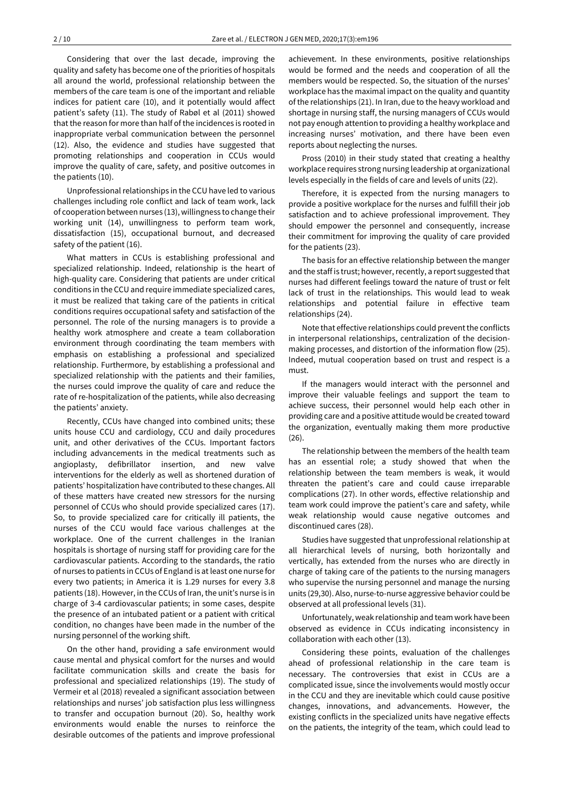Considering that over the last decade, improving the quality and safety has become one of the priorities of hospitals all around the world, professional relationship between the members of the care team is one of the important and reliable indices for patient care (10), and it potentially would affect patient's safety (11). The study of Rabøl et al (2011) showed that the reason for more than half of the incidences is rooted in inappropriate verbal communication between the personnel (12). Also, the evidence and studies have suggested that promoting relationships and cooperation in CCUs would improve the quality of care, safety, and positive outcomes in the patients (10).

Unprofessional relationships in the CCU have led to various challenges including role conflict and lack of team work, lack of cooperation between nurses (13), willingness to change their working unit (14), unwillingness to perform team work, dissatisfaction (15), occupational burnout, and decreased safety of the patient (16).

What matters in CCUs is establishing professional and specialized relationship. Indeed, relationship is the heart of high-quality care. Considering that patients are under critical conditions in the CCU and require immediate specialized cares, it must be realized that taking care of the patients in critical conditions requires occupational safety and satisfaction of the personnel. The role of the nursing managers is to provide a healthy work atmosphere and create a team collaboration environment through coordinating the team members with emphasis on establishing a professional and specialized relationship. Furthermore, by establishing a professional and specialized relationship with the patients and their families, the nurses could improve the quality of care and reduce the rate of re-hospitalization of the patients, while also decreasing the patients' anxiety.

Recently, CCUs have changed into combined units; these units house CCU and cardiology, CCU and daily procedures unit, and other derivatives of the CCUs. Important factors including advancements in the medical treatments such as angioplasty, defibrillator insertion, and new valve interventions for the elderly as well as shortened duration of patients' hospitalization have contributed to these changes. All of these matters have created new stressors for the nursing personnel of CCUs who should provide specialized cares (17). So, to provide specialized care for critically ill patients, the nurses of the CCU would face various challenges at the workplace. One of the current challenges in the Iranian hospitals is shortage of nursing staff for providing care for the cardiovascular patients. According to the standards, the ratio of nurses to patients in CCUs of England is atleast one nurse for every two patients; in America it is 1.29 nurses for every 3.8 patients (18). However, in the CCUs of Iran, the unit's nurse is in charge of 3-4 cardiovascular patients; in some cases, despite the presence of an intubated patient or a patient with critical condition, no changes have been made in the number of the nursing personnel of the working shift.

On the other hand, providing a safe environment would cause mental and physical comfort for the nurses and would facilitate communication skills and create the basis for professional and specialized relationships (19). The study of Vermeir et al (2018) revealed a significant association between relationships and nurses' job satisfaction plus less willingness to transfer and occupation burnout (20). So, healthy work environments would enable the nurses to reinforce the desirable outcomes of the patients and improve professional

achievement. In these environments, positive relationships would be formed and the needs and cooperation of all the members would be respected. So, the situation of the nurses' workplace has the maximal impact on the quality and quantity of the relationships (21). In Iran, due to the heavy workload and shortage in nursing staff, the nursing managers of CCUs would not pay enough attention to providing a healthy workplace and increasing nurses' motivation, and there have been even reports about neglecting the nurses.

Pross (2010) in their study stated that creating a healthy workplace requires strong nursing leadership at organizational levels especially in the fields of care and levels of units (22).

Therefore, it is expected from the nursing managers to provide a positive workplace for the nurses and fulfill their job satisfaction and to achieve professional improvement. They should empower the personnel and consequently, increase their commitment for improving the quality of care provided for the patients (23).

The basis for an effective relationship between the manger and the staff is trust; however, recently, a report suggested that nurses had different feelings toward the nature of trust or felt lack of trust in the relationships. This would lead to weak relationships and potential failure in effective team relationships (24).

Note that effective relationships could prevent the conflicts in interpersonal relationships, centralization of the decisionmaking processes, and distortion of the information flow (25). Indeed, mutual cooperation based on trust and respect is a must.

If the managers would interact with the personnel and improve their valuable feelings and support the team to achieve success, their personnel would help each other in providing care and a positive attitude would be created toward the organization, eventually making them more productive (26).

The relationship between the members of the health team has an essential role; a study showed that when the relationship between the team members is weak, it would threaten the patient's care and could cause irreparable complications (27). In other words, effective relationship and team work could improve the patient's care and safety, while weak relationship would cause negative outcomes and discontinued cares (28).

Studies have suggested that unprofessional relationship at all hierarchical levels of nursing, both horizontally and vertically, has extended from the nurses who are directly in charge of taking care of the patients to the nursing managers who supervise the nursing personnel and manage the nursing units (29,30). Also, nurse-to-nurse aggressive behavior could be observed at all professional levels (31).

Unfortunately, weak relationship and team work have been observed as evidence in CCUs indicating inconsistency in collaboration with each other (13).

Considering these points, evaluation of the challenges ahead of professional relationship in the care team is necessary. The controversies that exist in CCUs are a complicated issue, since the involvements would mostly occur in the CCU and they are inevitable which could cause positive changes, innovations, and advancements. However, the existing conflicts in the specialized units have negative effects on the patients, the integrity of the team, which could lead to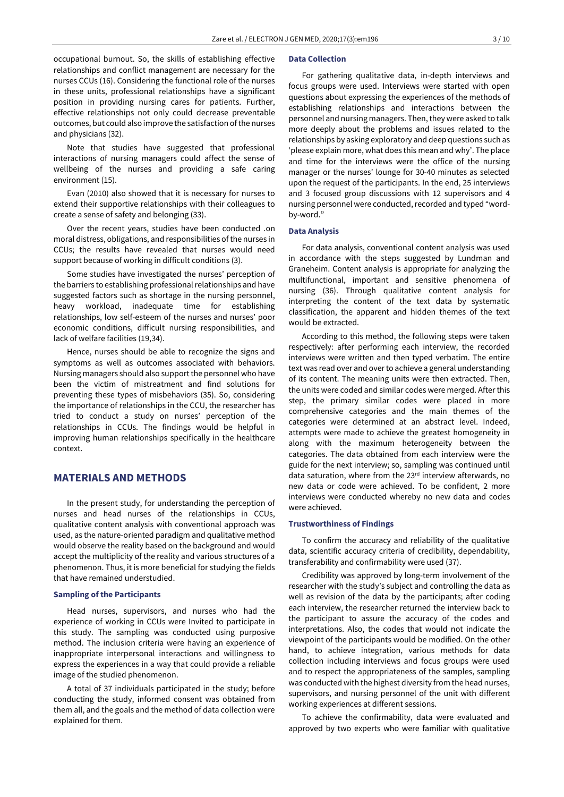occupational burnout. So, the skills of establishing effective relationships and conflict management are necessary for the nurses CCUs (16). Considering the functional role of the nurses in these units, professional relationships have a significant position in providing nursing cares for patients. Further, effective relationships not only could decrease preventable outcomes, but could also improve the satisfaction of the nurses and physicians (32).

Note that studies have suggested that professional interactions of nursing managers could affect the sense of wellbeing of the nurses and providing a safe caring environment (15).

Evan (2010) also showed that it is necessary for nurses to extend their supportive relationships with their colleagues to create a sense of safety and belonging (33).

Over the recent years, studies have been conducted .on moral distress, obligations, and responsibilities of the nurses in CCUs; the results have revealed that nurses would need support because of working in difficult conditions (3).

Some studies have investigated the nurses' perception of the barriers to establishing professional relationships and have suggested factors such as shortage in the nursing personnel, heavy workload, inadequate time for establishing relationships, low self-esteem of the nurses and nurses' poor economic conditions, difficult nursing responsibilities, and lack of welfare facilities (19,34).

Hence, nurses should be able to recognize the signs and symptoms as well as outcomes associated with behaviors. Nursing managers should also support the personnel who have been the victim of mistreatment and find solutions for preventing these types of misbehaviors (35). So, considering the importance of relationships in the CCU, the researcher has tried to conduct a study on nurses' perception of the relationships in CCUs. The findings would be helpful in improving human relationships specifically in the healthcare context.

### **MATERIALS AND METHODS**

In the present study, for understanding the perception of nurses and head nurses of the relationships in CCUs, qualitative content analysis with conventional approach was used, as the nature-oriented paradigm and qualitative method would observe the reality based on the background and would accept the multiplicity of the reality and various structures of a phenomenon. Thus, it is more beneficial for studying the fields that have remained understudied.

#### **Sampling of the Participants**

Head nurses, supervisors, and nurses who had the experience of working in CCUs were Invited to participate in this study. The sampling was conducted using purposive method. The inclusion criteria were having an experience of inappropriate interpersonal interactions and willingness to express the experiences in a way that could provide a reliable image of the studied phenomenon.

A total of 37 individuals participated in the study; before conducting the study, informed consent was obtained from them all, and the goals and the method of data collection were explained for them.

#### **Data Collection**

For gathering qualitative data, in-depth interviews and focus groups were used. Interviews were started with open questions about expressing the experiences of the methods of establishing relationships and interactions between the personnel and nursing managers. Then, they were asked to talk more deeply about the problems and issues related to the relationships by asking exploratory and deep questions such as 'please explain more, what does this mean and why'. The place and time for the interviews were the office of the nursing manager or the nurses' lounge for 30-40 minutes as selected upon the request of the participants. In the end, 25 interviews and 3 focused group discussions with 12 supervisors and 4 nursing personnel were conducted, recorded and typed "wordby-word."

#### **Data Analysis**

For data analysis, conventional content analysis was used in accordance with the steps suggested by Lundman and Graneheim. Content analysis is appropriate for analyzing the multifunctional, important and sensitive phenomena of nursing (36). Through qualitative content analysis for interpreting the content of the text data by systematic classification, the apparent and hidden themes of the text would be extracted.

According to this method, the following steps were taken respectively: after performing each interview, the recorded interviews were written and then typed verbatim. The entire text was read over and over to achieve a general understanding of its content. The meaning units were then extracted. Then, the units were coded and similar codes were merged. After this step, the primary similar codes were placed in more comprehensive categories and the main themes of the categories were determined at an abstract level. Indeed, attempts were made to achieve the greatest homogeneity in along with the maximum heterogeneity between the categories. The data obtained from each interview were the guide for the next interview; so, sampling was continued until data saturation, where from the 23rd interview afterwards, no new data or code were achieved. To be confident, 2 more interviews were conducted whereby no new data and codes were achieved.

## **Trustworthiness of Findings**

To confirm the accuracy and reliability of the qualitative data, scientific accuracy criteria of credibility, dependability, transferability and confirmability were used (37).

Credibility was approved by long-term involvement of the researcher with the study's subject and controlling the data as well as revision of the data by the participants; after coding each interview, the researcher returned the interview back to the participant to assure the accuracy of the codes and interpretations. Also, the codes that would not indicate the viewpoint of the participants would be modified. On the other hand, to achieve integration, various methods for data collection including interviews and focus groups were used and to respect the appropriateness of the samples, sampling was conducted with the highest diversity from the head nurses, supervisors, and nursing personnel of the unit with different working experiences at different sessions.

To achieve the confirmability, data were evaluated and approved by two experts who were familiar with qualitative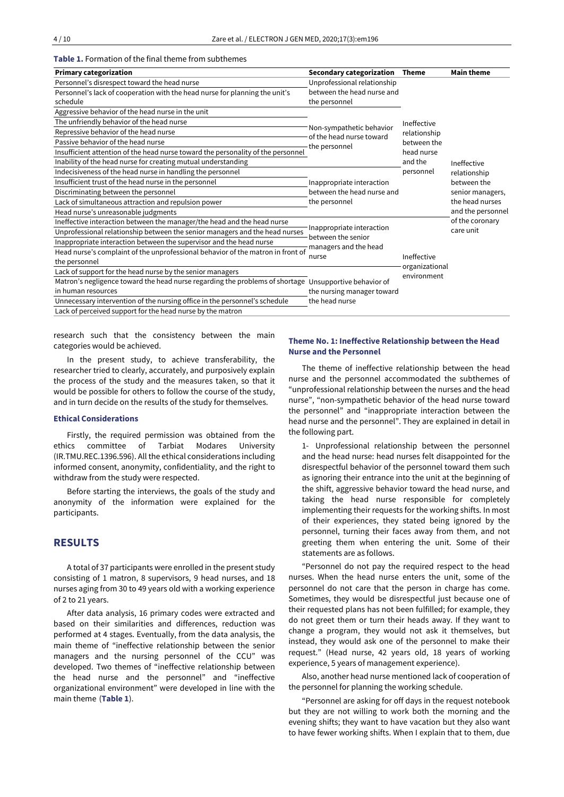#### **Table 1.** Formation of the final theme from subthemes

| <b>Primary categorization</b>                                                                         | <b>Secondary categorization</b>                                                   | <b>Theme</b>                                                                     | <b>Main theme</b>                                                                 |
|-------------------------------------------------------------------------------------------------------|-----------------------------------------------------------------------------------|----------------------------------------------------------------------------------|-----------------------------------------------------------------------------------|
| Personnel's disrespect toward the head nurse                                                          | Unprofessional relationship                                                       |                                                                                  |                                                                                   |
| Personnel's lack of cooperation with the head nurse for planning the unit's                           | between the head nurse and                                                        |                                                                                  |                                                                                   |
| schedule                                                                                              | the personnel                                                                     |                                                                                  |                                                                                   |
| Aggressive behavior of the head nurse in the unit                                                     |                                                                                   |                                                                                  |                                                                                   |
| The unfriendly behavior of the head nurse                                                             | Non-sympathetic behavior<br>of the head nurse toward<br>the personnel             | Ineffective<br>relationship<br>between the<br>head nurse<br>and the<br>personnel | Ineffective<br>relationship<br>between the<br>senior managers,<br>the head nurses |
| Repressive behavior of the head nurse                                                                 |                                                                                   |                                                                                  |                                                                                   |
| Passive behavior of the head nurse                                                                    |                                                                                   |                                                                                  |                                                                                   |
| Insufficient attention of the head nurse toward the personality of the personnel                      |                                                                                   |                                                                                  |                                                                                   |
| Inability of the head nurse for creating mutual understanding                                         |                                                                                   |                                                                                  |                                                                                   |
| Indecisiveness of the head nurse in handling the personnel                                            |                                                                                   |                                                                                  |                                                                                   |
| Insufficient trust of the head nurse in the personnel                                                 | Inappropriate interaction<br>between the head nurse and<br>the personnel          |                                                                                  |                                                                                   |
| Discriminating between the personnel                                                                  |                                                                                   |                                                                                  |                                                                                   |
| Lack of simultaneous attraction and repulsion power                                                   |                                                                                   |                                                                                  |                                                                                   |
| Head nurse's unreasonable judgments                                                                   |                                                                                   |                                                                                  | and the personnel                                                                 |
| Ineffective interaction between the manager/the head and the head nurse                               |                                                                                   |                                                                                  | of the coronary<br>care unit                                                      |
| Unprofessional relationship between the senior managers and the head nurses                           | Inappropriate interaction<br>between the senior<br>managers and the head<br>nurse |                                                                                  |                                                                                   |
| Inappropriate interaction between the supervisor and the head nurse                                   |                                                                                   |                                                                                  |                                                                                   |
| Head nurse's complaint of the unprofessional behavior of the matron in front of                       |                                                                                   |                                                                                  |                                                                                   |
| the personnel                                                                                         |                                                                                   | Ineffective                                                                      |                                                                                   |
| Lack of support for the head nurse by the senior managers                                             | the nursing manager toward<br>the head nurse                                      | organizational<br>environment                                                    |                                                                                   |
| Matron's negligence toward the head nurse regarding the problems of shortage Unsupportive behavior of |                                                                                   |                                                                                  |                                                                                   |
| in human resources                                                                                    |                                                                                   |                                                                                  |                                                                                   |
| Unnecessary intervention of the nursing office in the personnel's schedule                            |                                                                                   |                                                                                  |                                                                                   |
| Lack of perceived support for the head nurse by the matron                                            |                                                                                   |                                                                                  |                                                                                   |

research such that the consistency between the main categories would be achieved.

In the present study, to achieve transferability, the researcher tried to clearly, accurately, and purposively explain the process of the study and the measures taken, so that it would be possible for others to follow the course of the study, and in turn decide on the results of the study for themselves.

#### **Ethical Considerations**

Firstly, the required permission was obtained from the ethics committee of Tarbiat Modares University (IR.TMU.REC.1396.596). All the ethical considerations including informed consent, anonymity, confidentiality, and the right to withdraw from the study were respected.

Before starting the interviews, the goals of the study and anonymity of the information were explained for the participants.

# **RESULTS**

A total of 37 participants were enrolled in the present study consisting of 1 matron, 8 supervisors, 9 head nurses, and 18 nurses aging from 30 to 49 years old with a working experience of 2 to 21 years.

After data analysis, 16 primary codes were extracted and based on their similarities and differences, reduction was performed at 4 stages. Eventually, from the data analysis, the main theme of "ineffective relationship between the senior managers and the nursing personnel of the CCU" was developed. Two themes of "ineffective relationship between the head nurse and the personnel" and "ineffective organizational environment" were developed in line with the main theme (**Table 1**).

#### **Theme No. 1: Ineffective Relationship between the Head Nurse and the Personnel**

The theme of ineffective relationship between the head nurse and the personnel accommodated the subthemes of "unprofessional relationship between the nurses and the head nurse", "non-sympathetic behavior of the head nurse toward the personnel" and "inappropriate interaction between the head nurse and the personnel". They are explained in detail in the following part.

1- Unprofessional relationship between the personnel and the head nurse: head nurses felt disappointed for the disrespectful behavior of the personnel toward them such as ignoring their entrance into the unit at the beginning of the shift, aggressive behavior toward the head nurse, and taking the head nurse responsible for completely implementing their requests for the working shifts. In most of their experiences, they stated being ignored by the personnel, turning their faces away from them, and not greeting them when entering the unit. Some of their statements are as follows.

"Personnel do not pay the required respect to the head nurses. When the head nurse enters the unit, some of the personnel do not care that the person in charge has come. Sometimes, they would be disrespectful just because one of their requested plans has not been fulfilled; for example, they do not greet them or turn their heads away. If they want to change a program, they would not ask it themselves, but instead, they would ask one of the personnel to make their request." (Head nurse, 42 years old, 18 years of working experience, 5 years of management experience).

Also, another head nurse mentioned lack of cooperation of the personnel for planning the working schedule.

"Personnel are asking for off days in the request notebook but they are not willing to work both the morning and the evening shifts; they want to have vacation but they also want to have fewer working shifts. When I explain that to them, due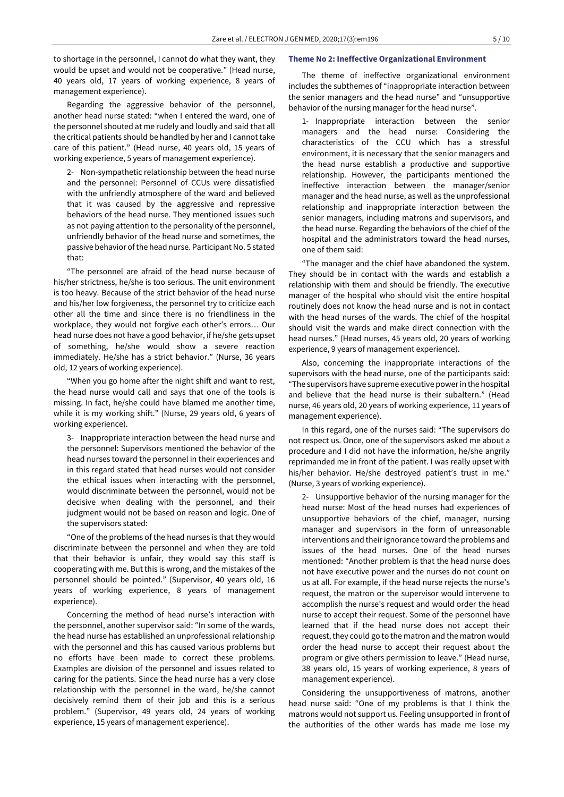to shortage in the personnel, I cannot do what they want, they would be upset and would not be cooperative." (Head nurse, 40 years old, 17 years of working experience, 8 years of management experience).

Regarding the aggressive behavior of the personnel, another head nurse stated: "when I entered the ward, one of the personnel shouted at me rudely and loudly and said that all the critical patients should be handled by her and I cannot take care of this patient." (Head nurse, 40 years old, 15 years of working experience, 5 years of management experience).

2- Non-sympathetic relationship between the head nurse and the personnel: Personnel of CCUs were dissatisfied with the unfriendly atmosphere of the ward and believed that it was caused by the aggressive and repressive behaviors of the head nurse. They mentioned issues such as not paying attention to the personality of the personnel, unfriendly behavior of the head nurse and sometimes, the passive behavior of the head nurse. Participant No. 5 stated that:

"The personnel are afraid of the head nurse because of his/her strictness, he/she is too serious. The unit environment is too heavy. Because of the strict behavior of the head nurse and his/her low forgiveness, the personnel try to criticize each other all the time and since there is no friendliness in the workplace, they would not forgive each other's errors… Our head nurse does not have a good behavior, if he/she gets upset of something, he/she would show a severe reaction immediately. He/she has a strict behavior." (Nurse, 36 years old, 12 years of working experience).

"When you go home after the night shift and want to rest, the head nurse would call and says that one of the tools is missing. In fact, he/she could have blamed me another time, while it is my working shift." (Nurse, 29 years old, 6 years of working experience).

3- Inappropriate interaction between the head nurse and the personnel: Supervisors mentioned the behavior of the head nurses toward the personnel in their experiences and in this regard stated that head nurses would not consider the ethical issues when interacting with the personnel, would discriminate between the personnel, would not be decisive when dealing with the personnel, and their judgment would not be based on reason and logic. One of the supervisors stated:

"One of the problems of the head nurses is that they would discriminate between the personnel and when they are told that their behavior is unfair, they would say this staff is cooperating with me. But this is wrong, and the mistakes of the personnel should be pointed." (Supervisor, 40 years old, 16 years of working experience, 8 years of management experience).

Concerning the method of head nurse's interaction with the personnel, another supervisor said: "In some of the wards, the head nurse has established an unprofessional relationship with the personnel and this has caused various problems but no efforts have been made to correct these problems. Examples are division of the personnel and issues related to caring for the patients. Since the head nurse has a very close relationship with the personnel in the ward, he/she cannot decisively remind them of their job and this is a serious problem." (Supervisor, 49 years old, 24 years of working experience, 15 years of management experience).

#### **Theme No 2: Ineffective Organizational Environment**

The theme of ineffective organizational environment includes the subthemes of "inappropriate interaction between the senior managers and the head nurse" and "unsupportive behavior of the nursing manager for the head nurse".

1- Inappropriate interaction between the senior managers and the head nurse: Considering the characteristics of the CCU which has a stressful environment, it is necessary that the senior managers and the head nurse establish a productive and supportive relationship. However, the participants mentioned the ineffective interaction between the manager/senior manager and the head nurse, as well as the unprofessional relationship and inappropriate interaction between the senior managers, including matrons and supervisors, and the head nurse. Regarding the behaviors of the chief of the hospital and the administrators toward the head nurses, one of them said:

"The manager and the chief have abandoned the system. They should be in contact with the wards and establish a relationship with them and should be friendly. The executive manager of the hospital who should visit the entire hospital routinely does not know the head nurse and is not in contact with the head nurses of the wards. The chief of the hospital should visit the wards and make direct connection with the head nurses." (Head nurses, 45 years old, 20 years of working experience, 9 years of management experience).

Also, concerning the inappropriate interactions of the supervisors with the head nurse, one of the participants said: "The supervisors have supreme executive powerin the hospital and believe that the head nurse is their subaltern." (Head nurse, 46 years old, 20 years of working experience, 11 years of management experience).

In this regard, one of the nurses said: "The supervisors do not respect us. Once, one of the supervisors asked me about a procedure and I did not have the information, he/she angrily reprimanded me in front of the patient. I was really upset with his/her behavior. He/she destroyed patient's trust in me." (Nurse, 3 years of working experience).

2- Unsupportive behavior of the nursing manager for the head nurse: Most of the head nurses had experiences of unsupportive behaviors of the chief, manager, nursing manager and supervisors in the form of unreasonable interventions and theirignorance toward the problems and issues of the head nurses. One of the head nurses mentioned: "Another problem is that the head nurse does not have executive power and the nurses do not count on us at all. For example, if the head nurse rejects the nurse's request, the matron or the supervisor would intervene to accomplish the nurse's request and would order the head nurse to accept their request. Some of the personnel have learned that if the head nurse does not accept their request, they could go to the matron and the matron would order the head nurse to accept their request about the program or give others permission to leave." (Head nurse, 38 years old, 15 years of working experience, 8 years of management experience).

Considering the unsupportiveness of matrons, another head nurse said: "One of my problems is that I think the matrons would not support us. Feeling unsupported in front of the authorities of the other wards has made me lose my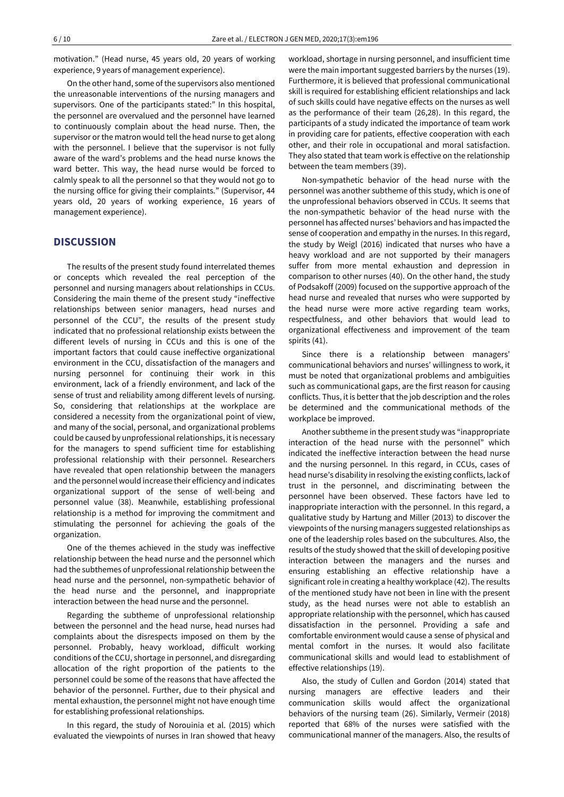motivation." (Head nurse, 45 years old, 20 years of working experience, 9 years of management experience).

On the other hand, some of the supervisors also mentioned the unreasonable interventions of the nursing managers and supervisors. One of the participants stated:" In this hospital, the personnel are overvalued and the personnel have learned to continuously complain about the head nurse. Then, the supervisor orthe matron would tell the head nurse to get along with the personnel. I believe that the supervisor is not fully aware of the ward's problems and the head nurse knows the ward better. This way, the head nurse would be forced to calmly speak to all the personnel so that they would not go to the nursing office for giving their complaints." (Supervisor, 44 years old, 20 years of working experience, 16 years of management experience).

## **DISCUSSION**

The results of the present study found interrelated themes or concepts which revealed the real perception of the personnel and nursing managers about relationships in CCUs. Considering the main theme of the present study "ineffective relationships between senior managers, head nurses and personnel of the CCU", the results of the present study indicated that no professional relationship exists between the different levels of nursing in CCUs and this is one of the important factors that could cause ineffective organizational environment in the CCU, dissatisfaction of the managers and nursing personnel for continuing their work in this environment, lack of a friendly environment, and lack of the sense of trust and reliability among different levels of nursing. So, considering that relationships at the workplace are considered a necessity from the organizational point of view, and many of the social, personal, and organizational problems could be caused by unprofessional relationships, it is necessary for the managers to spend sufficient time for establishing professional relationship with their personnel. Researchers have revealed that open relationship between the managers and the personnel would increase their efficiency and indicates organizational support of the sense of well-being and personnel value (38). Meanwhile, establishing professional relationship is a method for improving the commitment and stimulating the personnel for achieving the goals of the organization.

One of the themes achieved in the study was ineffective relationship between the head nurse and the personnel which had the subthemes of unprofessional relationship between the head nurse and the personnel, non-sympathetic behavior of the head nurse and the personnel, and inappropriate interaction between the head nurse and the personnel.

Regarding the subtheme of unprofessional relationship between the personnel and the head nurse, head nurses had complaints about the disrespects imposed on them by the personnel. Probably, heavy workload, difficult working conditions of the CCU, shortage in personnel, and disregarding allocation of the right proportion of the patients to the personnel could be some of the reasons that have affected the behavior of the personnel. Further, due to their physical and mental exhaustion, the personnel might not have enough time for establishing professional relationships.

In this regard, the study of Norouinia et al. (2015) which evaluated the viewpoints of nurses in Iran showed that heavy workload, shortage in nursing personnel, and insufficient time were the main important suggested barriers by the nurses (19). Furthermore, it is believed that professional communicational skill is required for establishing efficient relationships and lack of such skills could have negative effects on the nurses as well as the performance of their team (26,28). In this regard, the participants of a study indicated the importance of team work in providing care for patients, effective cooperation with each other, and their role in occupational and moral satisfaction. They also stated that team work is effective on the relationship between the team members (39).

Non-sympathetic behavior of the head nurse with the personnel was another subtheme of this study, which is one of the unprofessional behaviors observed in CCUs. It seems that the non-sympathetic behavior of the head nurse with the personnel has affected nurses' behaviors and has impacted the sense of cooperation and empathy in the nurses. In this regard, the study by Weigl (2016) indicated that nurses who have a heavy workload and are not supported by their managers suffer from more mental exhaustion and depression in comparison to other nurses (40). On the other hand, the study of Podsakoff (2009) focused on the supportive approach of the head nurse and revealed that nurses who were supported by the head nurse were more active regarding team works, respectfulness, and other behaviors that would lead to organizational effectiveness and improvement of the team spirits (41).

Since there is a relationship between managers' communicational behaviors and nurses' willingness to work, it must be noted that organizational problems and ambiguities such as communicational gaps, are the first reason for causing conflicts. Thus, it is better that the job description and the roles be determined and the communicational methods of the workplace be improved.

Another subtheme in the present study was "inappropriate interaction of the head nurse with the personnel" which indicated the ineffective interaction between the head nurse and the nursing personnel. In this regard, in CCUs, cases of head nurse's disability in resolving the existing conflicts, lack of trust in the personnel, and discriminating between the personnel have been observed. These factors have led to inappropriate interaction with the personnel. In this regard, a qualitative study by Hartung and Miller (2013) to discover the viewpoints of the nursing managers suggested relationships as one of the leadership roles based on the subcultures. Also, the results of the study showed that the skill of developing positive interaction between the managers and the nurses and ensuring establishing an effective relationship have a significant role in creating a healthy workplace (42). The results of the mentioned study have not been in line with the present study, as the head nurses were not able to establish an appropriate relationship with the personnel, which has caused dissatisfaction in the personnel. Providing a safe and comfortable environment would cause a sense of physical and mental comfort in the nurses. It would also facilitate communicational skills and would lead to establishment of effective relationships (19).

Also, the study of Cullen and Gordon (2014) stated that nursing managers are effective leaders and their communication skills would affect the organizational behaviors of the nursing team (26). Similarly, Vermeir (2018) reported that 68% of the nurses were satisfied with the communicational manner of the managers. Also, the results of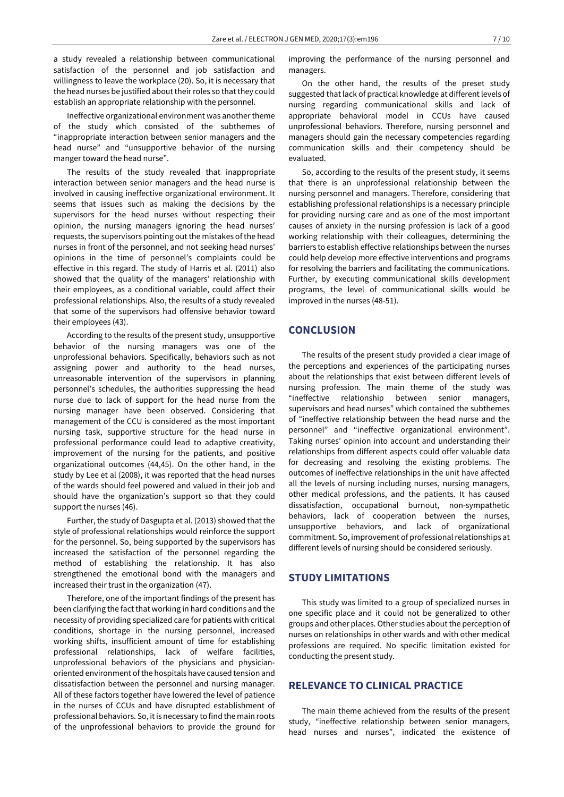a study revealed a relationship between communicational satisfaction of the personnel and job satisfaction and willingness to leave the workplace (20). So, it is necessary that the head nurses be justified about their roles so that they could establish an appropriate relationship with the personnel.

Ineffective organizational environment was another theme of the study which consisted of the subthemes of "inappropriate interaction between senior managers and the head nurse" and "unsupportive behavior of the nursing manger toward the head nurse".

The results of the study revealed that inappropriate interaction between senior managers and the head nurse is involved in causing ineffective organizational environment. It seems that issues such as making the decisions by the supervisors for the head nurses without respecting their opinion, the nursing managers ignoring the head nurses' requests, the supervisors pointing out the mistakes of the head nurses in front of the personnel, and not seeking head nurses' opinions in the time of personnel's complaints could be effective in this regard. The study of Harris et al. (2011) also showed that the quality of the managers' relationship with their employees, as a conditional variable, could affect their professional relationships. Also, the results of a study revealed that some of the supervisors had offensive behavior toward their employees (43).

According to the results of the present study, unsupportive behavior of the nursing managers was one of the unprofessional behaviors. Specifically, behaviors such as not assigning power and authority to the head nurses, unreasonable intervention of the supervisors in planning personnel's schedules, the authorities suppressing the head nurse due to lack of support for the head nurse from the nursing manager have been observed. Considering that management of the CCU is considered as the most important nursing task, supportive structure for the head nurse in professional performance could lead to adaptive creativity, improvement of the nursing for the patients, and positive organizational outcomes (44,45). On the other hand, in the study by Lee et al (2008), it was reported that the head nurses of the wards should feel powered and valued in their job and should have the organization's support so that they could support the nurses (46).

Further, the study of Dasgupta et al. (2013) showed that the style of professional relationships would reinforce the support for the personnel. So, being supported by the supervisors has increased the satisfaction of the personnel regarding the method of establishing the relationship. It has also strengthened the emotional bond with the managers and increased their trust in the organization (47).

Therefore, one of the important findings of the present has been clarifying the fact that working in hard conditions and the necessity of providing specialized care for patients with critical conditions, shortage in the nursing personnel, increased working shifts, insufficient amount of time for establishing professional relationships, lack of welfare facilities, unprofessional behaviors of the physicians and physicianoriented environment of the hospitals have caused tension and dissatisfaction between the personnel and nursing manager. All of these factors together have lowered the level of patience in the nurses of CCUs and have disrupted establishment of professional behaviors. So, it is necessary to find the main roots of the unprofessional behaviors to provide the ground for improving the performance of the nursing personnel and managers.

On the other hand, the results of the preset study suggested that lack of practical knowledge at different levels of nursing regarding communicational skills and lack of appropriate behavioral model in CCUs have caused unprofessional behaviors. Therefore, nursing personnel and managers should gain the necessary competencies regarding communication skills and their competency should be evaluated.

So, according to the results of the present study, it seems that there is an unprofessional relationship between the nursing personnel and managers. Therefore, considering that establishing professional relationships is a necessary principle for providing nursing care and as one of the most important causes of anxiety in the nursing profession is lack of a good working relationship with their colleagues, determining the barriers to establish effective relationships between the nurses could help develop more effective interventions and programs for resolving the barriers and facilitating the communications. Further, by executing communicational skills development programs, the level of communicational skills would be improved in the nurses (48-51).

## **CONCLUSION**

The results of the present study provided a clear image of the perceptions and experiences of the participating nurses about the relationships that exist between different levels of nursing profession. The main theme of the study was "ineffective relationship between senior managers, supervisors and head nurses" which contained the subthemes of "ineffective relationship between the head nurse and the personnel" and "ineffective organizational environment". Taking nurses' opinion into account and understanding their relationships from different aspects could offer valuable data for decreasing and resolving the existing problems. The outcomes of ineffective relationships in the unit have affected all the levels of nursing including nurses, nursing managers, other medical professions, and the patients. It has caused dissatisfaction, occupational burnout, non-sympathetic behaviors, lack of cooperation between the nurses, unsupportive behaviors, and lack of organizational commitment. So, improvement of professional relationships at different levels of nursing should be considered seriously.

# **STUDY LIMITATIONS**

This study was limited to a group of specialized nurses in one specific place and it could not be generalized to other groups and other places. Other studies about the perception of nurses on relationships in other wards and with other medical professions are required. No specific limitation existed for conducting the present study.

# **RELEVANCE TO CLINICAL PRACTICE**

The main theme achieved from the results of the present study, "ineffective relationship between senior managers, head nurses and nurses", indicated the existence of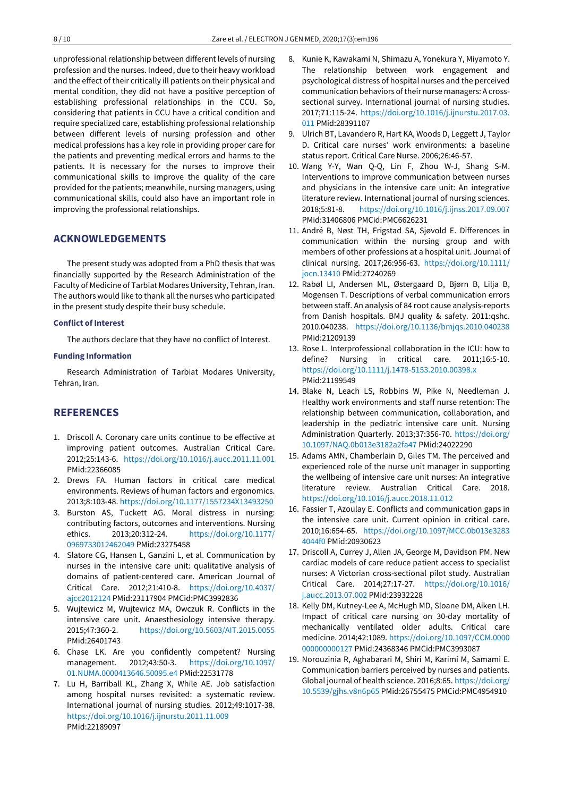unprofessional relationship between different levels of nursing profession and the nurses. Indeed, due to their heavy workload and the effect of their critically ill patients on their physical and mental condition, they did not have a positive perception of establishing professional relationships in the CCU. So, considering that patients in CCU have a critical condition and require specialized care, establishing professional relationship between different levels of nursing profession and other medical professions has a key role in providing proper care for the patients and preventing medical errors and harms to the patients. It is necessary for the nurses to improve their communicational skills to improve the quality of the care provided for the patients; meanwhile, nursing managers, using communicational skills, could also have an important role in improving the professional relationships.

# **ACKNOWLEDGEMENTS**

The present study was adopted from a PhD thesis that was financially supported by the Research Administration of the Faculty of Medicine of Tarbiat Modares University, Tehran, Iran. The authors would like to thank all the nurses who participated in the present study despite their busy schedule.

#### **Conflict of Interest**

The authors declare that they have no conflict of Interest.

#### **Funding Information**

Research Administration of Tarbiat Modares University, Tehran, Iran.

# **REFERENCES**

- 1. Driscoll A. Coronary care units continue to be effective at improving patient outcomes. Australian Critical Care. 2012;25:143-6. <https://doi.org/10.1016/j.aucc.2011.11.001> PMid:22366085
- 2. Drews FA. Human factors in critical care medical environments. Reviews of human factors and ergonomics. 2013;8:103-48. <https://doi.org/10.1177/1557234X13493250>
- 3. Burston AS, Tuckett AG. Moral distress in nursing: contributing factors, outcomes and interventions. Nursing ethics. 2013;20:312-24. [https://doi.org/10.1177/](https://doi.org/10.1177/0969733012462049) [0969733012462049](https://doi.org/10.1177/0969733012462049) PMid:23275458
- 4. Slatore CG, Hansen L, Ganzini L, et al. Communication by nurses in the intensive care unit: qualitative analysis of domains of patient-centered care. American Journal of Critical Care. 2012;21:410-8. [https://doi.org/10.4037/](https://doi.org/10.4037/ajcc2012124) [ajcc2012124](https://doi.org/10.4037/ajcc2012124) PMid:23117904 PMCid:PMC3992836
- 5. Wujtewicz M, Wujtewicz MA, Owczuk R. Conflicts in the intensive care unit. Anaesthesiology intensive therapy. 2015;47:360-2. <https://doi.org/10.5603/AIT.2015.0055> PMid:26401743
- 6. Chase LK. Are you confidently competent? Nursing management. 2012;43:50-3. [https://doi.org/10.1097/](https://doi.org/10.1097/01.NUMA.0000413646.50095.e4) [01.NUMA.0000413646.50095.e4](https://doi.org/10.1097/01.NUMA.0000413646.50095.e4) PMid:22531778
- 7. Lu H, Barriball KL, Zhang X, While AE. Job satisfaction among hospital nurses revisited: a systematic review. International journal of nursing studies. 2012;49:1017-38. <https://doi.org/10.1016/j.ijnurstu.2011.11.009> PMid:22189097
- 8. Kunie K, Kawakami N, Shimazu A, Yonekura Y, Miyamoto Y. The relationship between work engagement and psychological distress of hospital nurses and the perceived communication behaviors of their nurse managers: A crosssectional survey. International journal of nursing studies. 2017;71:115-24. [https://doi.org/10.1016/j.ijnurstu.2017.03.](https://doi.org/10.1016/j.ijnurstu.2017.03.011) [011](https://doi.org/10.1016/j.ijnurstu.2017.03.011) PMid:28391107
- 9. Ulrich BT, Lavandero R, Hart KA, Woods D, Leggett J, Taylor D. Critical care nurses' work environments: a baseline status report. Critical Care Nurse. 2006;26:46-57.
- 10. Wang Y-Y, Wan Q-Q, Lin F, Zhou W-J, Shang S-M. Interventions to improve communication between nurses and physicians in the intensive care unit: An integrative literature review. International journal of nursing sciences. 2018;5:81-8. <https://doi.org/10.1016/j.ijnss.2017.09.007> PMid:31406806 PMCid:PMC6626231
- 11. André B, Nøst TH, Frigstad SA, Sjøvold E. Differences in communication within the nursing group and with members of other professions at a hospital unit. Journal of clinical nursing. 2017;26:956-63. [https://doi.org/10.1111/](https://doi.org/10.1111/jocn.13410) [jocn.13410](https://doi.org/10.1111/jocn.13410) PMid:27240269
- 12. Rabøl LI, Andersen ML, Østergaard D, Bjørn B, Lilja B, Mogensen T. Descriptions of verbal communication errors between staff. An analysis of 84 root cause analysis-reports from Danish hospitals. BMJ quality & safety. 2011:qshc. 2010.040238. <https://doi.org/10.1136/bmjqs.2010.040238> PMid:21209139
- 13. Rose L. Interprofessional collaboration in the ICU: how to define? Nursing in critical care. 2011;16:5-10. <https://doi.org/10.1111/j.1478-5153.2010.00398.x> PMid:21199549
- 14. Blake N, Leach LS, Robbins W, Pike N, Needleman J. Healthy work environments and staff nurse retention: The relationship between communication, collaboration, and leadership in the pediatric intensive care unit. Nursing Administration Quarterly. 2013;37:356-70. [https://doi.org/](https://doi.org/10.1097/NAQ.0b013e3182a2fa47) [10.1097/NAQ.0b013e3182a2fa47](https://doi.org/10.1097/NAQ.0b013e3182a2fa47) PMid:24022290
- 15. Adams AMN, Chamberlain D, Giles TM. The perceived and experienced role of the nurse unit manager in supporting the wellbeing of intensive care unit nurses: An integrative literature review. Australian Critical Care. 2018. <https://doi.org/10.1016/j.aucc.2018.11.012>
- 16. Fassier T, Azoulay E. Conflicts and communication gaps in the intensive care unit. Current opinion in critical care. 2010;16:654-65. [https://doi.org/10.1097/MCC.0b013e3283](https://doi.org/10.1097/MCC.0b013e32834044f0) [4044f0](https://doi.org/10.1097/MCC.0b013e32834044f0) PMid:20930623
- 17. Driscoll A, Currey J, Allen JA, George M, Davidson PM. New cardiac models of care reduce patient access to specialist nurses: A Victorian cross-sectional pilot study. Australian Critical Care. 2014;27:17-27. [https://doi.org/10.1016/](https://doi.org/10.1016/j.aucc.2013.07.002) [j.aucc.2013.07.002](https://doi.org/10.1016/j.aucc.2013.07.002) PMid:23932228
- 18. Kelly DM, Kutney-Lee A, McHugh MD, Sloane DM, Aiken LH. Impact of critical care nursing on 30-day mortality of mechanically ventilated older adults. Critical care medicine. 2014;42:1089. [https://doi.org/10.1097/CCM.0000](https://doi.org/10.1097/CCM.0000000000000127) [000000000127](https://doi.org/10.1097/CCM.0000000000000127) PMid:24368346 PMCid:PMC3993087
- 19. Norouzinia R, Aghabarari M, Shiri M, Karimi M, Samami E. Communication barriers perceived by nurses and patients. Global journal of health science. 2016;8:65. [https://doi.org/](https://doi.org/10.5539/gjhs.v8n6p65) [10.5539/gjhs.v8n6p65](https://doi.org/10.5539/gjhs.v8n6p65) PMid:26755475 PMCid:PMC4954910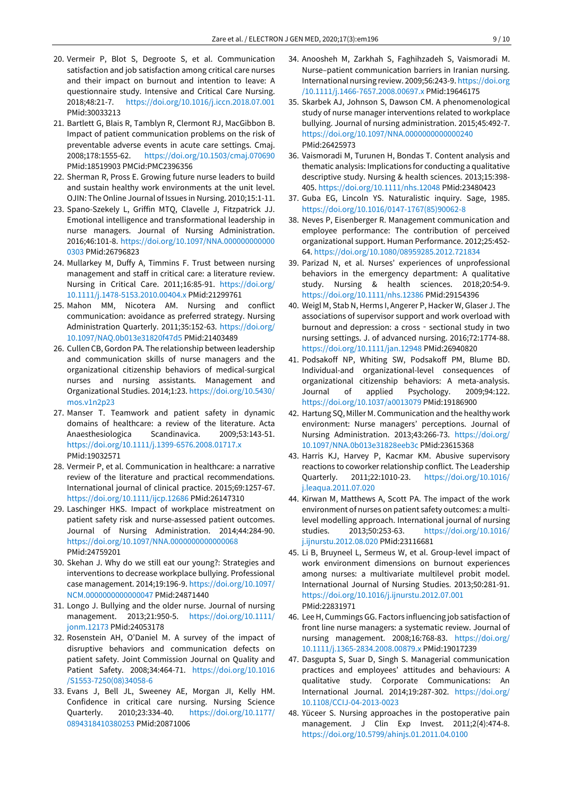- 20. Vermeir P, Blot S, Degroote S, et al. Communication satisfaction and job satisfaction among critical care nurses and their impact on burnout and intention to leave: A questionnaire study. Intensive and Critical Care Nursing. 2018;48:21-7. <https://doi.org/10.1016/j.iccn.2018.07.001> PMid:30033213
- 21. Bartlett G, Blais R, Tamblyn R, Clermont RJ, MacGibbon B. Impact of patient communication problems on the risk of preventable adverse events in acute care settings. Cmaj. 2008;178:1555-62. <https://doi.org/10.1503/cmaj.070690> PMid:18519903 PMCid:PMC2396356
- 22. Sherman R, Pross E. Growing future nurse leaders to build and sustain healthy work environments at the unit level. OJIN: The Online Journal of Issues in Nursing. 2010;15:1-11.
- 23. Spano-Szekely L, Griffin MTQ, Clavelle J, Fitzpatrick JJ. Emotional intelligence and transformational leadership in nurse managers. Journal of Nursing Administration. 2016;46:101-8. [https://doi.org/10.1097/NNA.000000000000](https://doi.org/10.1097/NNA.0000000000000303) [0303](https://doi.org/10.1097/NNA.0000000000000303) PMid:26796823
- 24. Mullarkey M, Duffy A, Timmins F. Trust between nursing management and staff in critical care: a literature review. Nursing in Critical Care. 2011;16:85-91. [https://doi.org/](https://doi.org/10.1111/j.1478-5153.2010.00404.x) [10.1111/j.1478-5153.2010.00404.x](https://doi.org/10.1111/j.1478-5153.2010.00404.x) PMid:21299761
- 25. Mahon MM, Nicotera AM. Nursing and conflict communication: avoidance as preferred strategy. Nursing Administration Quarterly. 2011;35:152-63. [https://doi.org/](https://doi.org/10.1097/NAQ.0b013e31820f47d5) [10.1097/NAQ.0b013e31820f47d5](https://doi.org/10.1097/NAQ.0b013e31820f47d5) PMid:21403489
- 26. Cullen CB, Gordon PA. The relationship between leadership and communication skills of nurse managers and the organizational citizenship behaviors of medical-surgical nurses and nursing assistants. Management and Organizational Studies. 2014;1:23. [https://doi.org/10.5430/](https://doi.org/10.5430/mos.v1n2p23) [mos.v1n2p23](https://doi.org/10.5430/mos.v1n2p23)
- 27. Manser T. Teamwork and patient safety in dynamic domains of healthcare: a review of the literature. Acta Anaesthesiologica Scandinavica. 2009;53:143-51. <https://doi.org/10.1111/j.1399-6576.2008.01717.x> PMid:19032571
- 28. Vermeir P, et al. Communication in healthcare: a narrative review of the literature and practical recommendations. International journal of clinical practice. 2015;69:1257-67. <https://doi.org/10.1111/ijcp.12686> PMid:26147310
- 29. Laschinger HKS. Impact of workplace mistreatment on patient safety risk and nurse-assessed patient outcomes. Journal of Nursing Administration. 2014;44:284-90. <https://doi.org/10.1097/NNA.0000000000000068> PMid:24759201
- 30. Skehan J. Why do we still eat our young?: Strategies and interventions to decrease workplace bullying. Professional case management. 2014;19:196-9. [https://doi.org/10.1097/](https://doi.org/10.1097/NCM.0000000000000047) [NCM.0000000000000047](https://doi.org/10.1097/NCM.0000000000000047) PMid:24871440
- 31. Longo J. Bullying and the older nurse. Journal of nursing management. 2013;21:950-5. [https://doi.org/10.1111/](https://doi.org/10.1111/jonm.12173) [jonm.12173](https://doi.org/10.1111/jonm.12173) PMid:24053178
- 32. Rosenstein AH, O'Daniel M. A survey of the impact of disruptive behaviors and communication defects on patient safety. Joint Commission Journal on Quality and Patient Safety. 2008;34:464-71. [https://doi.org/10.1016](https://doi.org/10.1016/S1553-7250(08)34058-6) [/S1553-7250\(08\)34058-6](https://doi.org/10.1016/S1553-7250(08)34058-6)
- 33. Evans J, Bell JL, Sweeney AE, Morgan JI, Kelly HM. Confidence in critical care nursing. Nursing Science Quarterly. 2010;23:334-40. [https://doi.org/10.1177/](https://doi.org/10.1177/0894318410380253) [0894318410380253](https://doi.org/10.1177/0894318410380253) PMid:20871006
- 34. Anoosheh M, Zarkhah S, Faghihzadeh S, Vaismoradi M. Nurse–patient communication barriers in Iranian nursing. International nursing review. 2009;56:243-9. [https://doi.org](https://doi.org/10.1111/j.1466-7657.2008.00697.x) [/10.1111/j.1466-7657.2008.00697.x](https://doi.org/10.1111/j.1466-7657.2008.00697.x) PMid:19646175
- 35. Skarbek AJ, Johnson S, Dawson CM. A phenomenological study of nurse manager interventions related to workplace bullying. Journal of nursing administration. 2015;45:492-7. <https://doi.org/10.1097/NNA.0000000000000240> PMid:26425973
- 36. Vaismoradi M, Turunen H, Bondas T. Content analysis and thematic analysis: Implications for conducting a qualitative descriptive study. Nursing & health sciences. 2013;15:398- 405. <https://doi.org/10.1111/nhs.12048> PMid:23480423
- 37. Guba EG, Lincoln YS. Naturalistic inquiry. Sage, 1985. [https://doi.org/10.1016/0147-1767\(85\)90062-8](https://doi.org/10.1016/0147-1767(85)90062-8)
- 38. Neves P, Eisenberger R. Management communication and employee performance: The contribution of perceived organizational support. Human Performance. 2012;25:452- 64. <https://doi.org/10.1080/08959285.2012.721834>
- 39. Parizad N, et al. Nurses' experiences of unprofessional behaviors in the emergency department: A qualitative study. Nursing & health sciences. 2018;20:54-9. <https://doi.org/10.1111/nhs.12386> PMid:29154396
- 40. Weigl M, Stab N, Herms I, Angerer P, Hacker W, Glaser J. The associations of supervisor support and work overload with burnout and depression: a cross - sectional study in two nursing settings. J. of advanced nursing. 2016;72:1774-88. <https://doi.org/10.1111/jan.12948> PMid:26940820
- 41. Podsakoff NP, Whiting SW, Podsakoff PM, Blume BD. Individual-and organizational-level consequences of organizational citizenship behaviors: A meta-analysis. Journal of applied Psychology. 2009;94:122. <https://doi.org/10.1037/a0013079> PMid:19186900
- 42. Hartung SQ, Miller M. Communication and the healthy work environment: Nurse managers' perceptions. Journal of Nursing Administration. 2013;43:266-73. [https://doi.org/](https://doi.org/10.1097/NNA.0b013e31828eeb3c) [10.1097/NNA.0b013e31828eeb3c](https://doi.org/10.1097/NNA.0b013e31828eeb3c) PMid:23615368
- 43. Harris KJ, Harvey P, Kacmar KM. Abusive supervisory reactions to coworker relationship conflict. The Leadership Quarterly. 2011;22:1010-23. [https://doi.org/10.1016/](https://doi.org/10.1016/j.leaqua.2011.07.020) [j.leaqua.2011.07.020](https://doi.org/10.1016/j.leaqua.2011.07.020)
- 44. Kirwan M, Matthews A, Scott PA. The impact of the work environment of nurses on patient safety outcomes: a multilevel modelling approach. International journal of nursing studies. 2013;50:253-63. [https://doi.org/10.1016/](https://doi.org/10.1016/j.ijnurstu.2012.08.020) [j.ijnurstu.2012.08.020](https://doi.org/10.1016/j.ijnurstu.2012.08.020) PMid:23116681
- 45. Li B, Bruyneel L, Sermeus W, et al. Group-level impact of work environment dimensions on burnout experiences among nurses: a multivariate multilevel probit model. International Journal of Nursing Studies. 2013;50:281-91. <https://doi.org/10.1016/j.ijnurstu.2012.07.001> PMid:22831971
- 46. LeeH, Cummings GG. Factors influencing job satisfaction of front line nurse managers: a systematic review. Journal of nursing management. 2008;16:768-83. [https://doi.org/](https://doi.org/10.1111/j.1365-2834.2008.00879.x) [10.1111/j.1365-2834.2008.00879.x](https://doi.org/10.1111/j.1365-2834.2008.00879.x) PMid:19017239
- 47. Dasgupta S, Suar D, Singh S. Managerial communication practices and employees' attitudes and behaviours: A qualitative study. Corporate Communications: An International Journal. 2014;19:287-302. [https://doi.org/](https://doi.org/10.1108/CCIJ-04-2013-0023) [10.1108/CCIJ-04-2013-0023](https://doi.org/10.1108/CCIJ-04-2013-0023)
- 48. Yüceer S. Nursing approaches in the postoperative pain management. J Clin Exp Invest. 2011;2(4):474-8. <https://doi.org/10.5799/ahinjs.01.2011.04.0100>